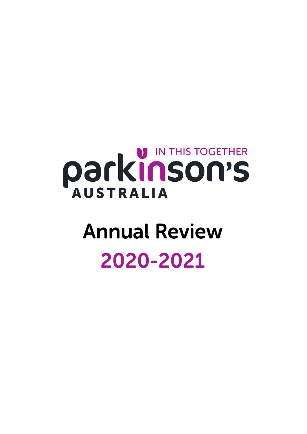# **PARKINSON'S**

# **Annual Review** 2020-2021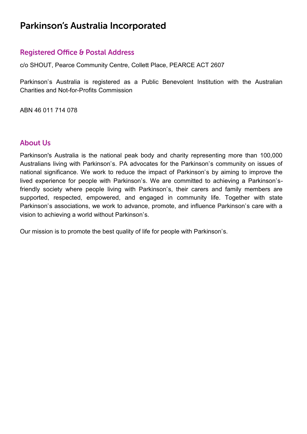# Parkinson's Australia Incorporated

#### **Registered Office & Postal Address**

**c/o SHOUT, Pearce Community Centre, Collett Place, PEARCE ACT 2607**

**Parkinson's Australia is registered as a Public Benevolent Institution with the Australian Charities and Not-for-Profits Commission**

**ABN 46 011 714 078** 

#### **About Us**

**Parkinson's Australia is the national peak body and charity representing more than 100,000 Australians living with Parkinson's. PA advocates for the Parkinson's community on issues of national significance. We work to reduce the impact of Parkinson's by aiming to improve the lived experience for people with Parkinson's. We are committed to achieving a Parkinson'sfriendly society where people living with Parkinson's, their carers and family members are supported, respected, empowered, and engaged in community life. Together with state Parkinson's associations, we work to advance, promote, and influence Parkinson's care with a vision to achieving a world without Parkinson's.**

**Our mission is to promote the best quality of life for people with Parkinson's.**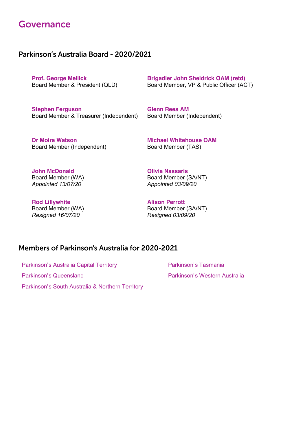### Governance

#### Parkinson's Australia Board - 2020/2021

**Prof. George Mellick Board Member & President (QLD)** **Brigadier John Sheldrick OAM (retd) Board Member, VP & Public Officer (ACT)**

**Stephen Ferguson Board Member & Treasurer (Independent)** **Glenn Rees AM Board Member (Independent)**

**Dr Moira Watson Board Member (Independent)**

**Michael Whitehouse OAM Board Member (TAS)**

**John McDonald Board Member (WA)** *Appointed 13/07/20*

**Rod Lillywhite Board Member (WA)** *Resigned 16/07/20*

**Olivia Nassaris Board Member (SA/NT)** *Appointed 03/09/20*

**Alison Perrott Board Member (SA/NT)** *Resigned 03/09/20*

#### Members of Parkinson's Australia for 2020-2021

**Parkinson's Australia Capital Territory**

**Parkinson's Queensland**

**Parkinson's South Australia & Northern Territory**

**Parkinson's Tasmania Parkinson's Western Australia**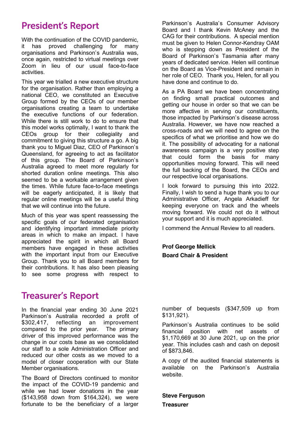# **President's Report**

**With the continuation of the COVID pandemic, it has proved challenging for many organisations and Parkinson's Australia was, once again, restricted to virtual meetings over Zoom in lieu of our usual face-to-face activities.** 

**This year we trialled a new executive structure for the organisation. Rather than employing a national CEO, we constituted an Executive Group formed by the CEOs of our member organisations creating a team to undertake the executive functions of our federation. While there is still work to do to ensure that this model works optimally, I want to thank the CEOs group for their collegiality and commitment to giving this structure a go. A big thank you to Miguel Diaz, CEO of Parkinson's Queensland, for agreeing to act as facilitator of this group. The Board of Parkinson's Australia agreed to meet more regularly for shorted duration online meetings. This also seemed to be a workable arrangement given the times. While future face-to-face meetings will be eagerly anticipated, it is likely that regular online meetings will be a useful thing that we will continue into the future.** 

**Much of this year was spent reassessing the specific goals of our federated organisation and identifying important immediate priority areas in which to make an impact. I have appreciated the spirit in which all Board members have engaged in these activities with the important input from our Executive Group. Thank you to all Board members for their contributions. It has also been pleasing to see some progress with respect to** 

# **Treasurer's Report**

**In the financial year ending 30 June 2021 Parkinson's Australia recorded a profit of \$302,417, reflecting an improvement compared to the prior year. The primary driver of this improved performance was the change in our costs base as we consolidated our staff to a sole Administration Officer and reduced our other costs as we moved to a model of closer cooperation with our State Member organisations.**

**The Board of Directors continued to monitor the impact of the COVID-19 pandemic and while we had lower donations in the year (\$143,958 down from \$164,324), we were fortunate to be the beneficiary of a larger**  **Parkinson's Australia's Consumer Advisory Board and I thank Kevin McAney and the CAG for their contributions. A special mention must be given to Helen Connor-Kendray OAM who is stepping down as President of the Board of Parkinson's Tasmania after many years of dedicated service. Helen will continue on the Board as Vice-President and remain in her role of CEO. Thank you, Helen, for all you have done and continue to do.** 

**As a PA Board we have been concentrating on finding small practical outcomes and getting our house in order so that we can be more affective in serving our constituents, those impacted by Parkinson's disease across Australia. However, we have now reached a cross-roads and we will need to agree on the specifics of what we prioritise and how we do it. The possibility of advocating for a national awareness campaign is a very positive step that could form the basis for many opportunities moving forward. This will need the full backing of the Board, the CEOs and our respective local organisations.** 

**I look forward to pursuing this into 2022. Finally, I wish to send a huge thank you to our Administrative Officer, Angela Arkadieff for keeping everyone on track and the wheels moving forward. We could not do it without your support and it is much appreciated.** 

**I commend the Annual Review to all readers.**

**Prof George Mellick Board Chair & President**

**number of bequests (\$347,509 up from \$131,921).**

**Parkinson's Australia continues to be solid financial position with net assets of \$1,170,669 at 30 June 2021, up on the prior year. This includes cash and cash on deposit of \$873,846.** 

**A copy of the audited financial statements is available on the Parkinson's Australia website.**

**Steve Ferguson**

**Treasurer**